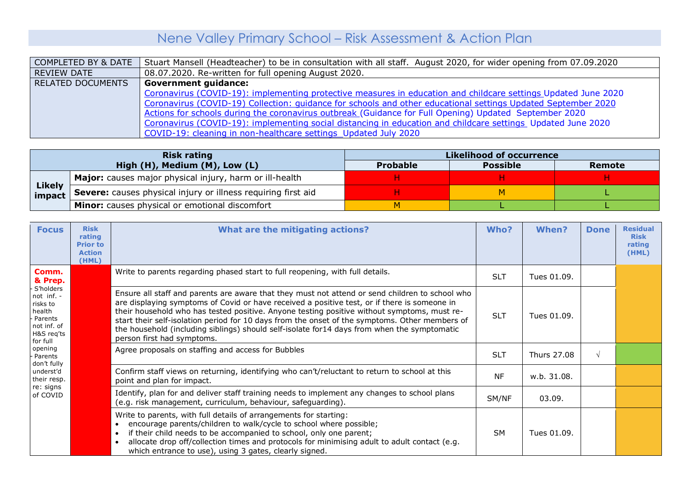## Nene Valley Primary School – Risk Assessment & Action Plan

| COMPLETED BY & DATE | Stuart Mansell (Headteacher) to be in consultation with all staff. August 2020, for wider opening from 07.09.2020 |
|---------------------|-------------------------------------------------------------------------------------------------------------------|
| <b>REVIEW DATE</b>  | 08.07.2020. Re-written for full opening August 2020.                                                              |
| RELATED DOCUMENTS   | <b>Government guidance:</b>                                                                                       |
|                     | Coronavirus (COVID-19): implementing protective measures in education and childcare settings Updated June 2020    |
|                     | Coronavirus (COVID-19) Collection: guidance for schools and other educational settings Updated September 2020     |
|                     | Actions for schools during the coronavirus outbreak (Guidance for Full Opening) Updated September 2020            |
|                     | Coronavirus (COVID-19): implementing social distancing in education and childcare settings Updated June 2020      |
|                     | COVID-19: cleaning in non-healthcare settings Updated July 2020                                                   |

|                         | <b>Risk rating</b>                                            | Likelihood of occurrence |                 |        |  |  |
|-------------------------|---------------------------------------------------------------|--------------------------|-----------------|--------|--|--|
|                         | High (H), Medium (M), Low (L)                                 | <b>Probable</b>          | <b>Possible</b> | Remote |  |  |
| <b>Likely</b><br>impact | Major: causes major physical injury, harm or ill-health       |                          |                 |        |  |  |
|                         | Severe: causes physical injury or illness requiring first aid |                          |                 |        |  |  |
|                         | <b>Minor:</b> causes physical or emotional discomfort         |                          |                 |        |  |  |

| <b>Focus</b>                                                                                      | <b>Risk</b><br>rating<br><b>Prior to</b><br><b>Action</b><br>(HML) | What are the mitigating actions?                                                                                                                                                                                                                                                                                                                                                                                                                                                                                              | Who?       | When?       | <b>Done</b> | <b>Residual</b><br><b>Risk</b><br>rating<br>(HML)                                                                                                            |       |        |  |  |
|---------------------------------------------------------------------------------------------------|--------------------------------------------------------------------|-------------------------------------------------------------------------------------------------------------------------------------------------------------------------------------------------------------------------------------------------------------------------------------------------------------------------------------------------------------------------------------------------------------------------------------------------------------------------------------------------------------------------------|------------|-------------|-------------|--------------------------------------------------------------------------------------------------------------------------------------------------------------|-------|--------|--|--|
| Comm.<br>& Prep.                                                                                  |                                                                    | Write to parents regarding phased start to full reopening, with full details.                                                                                                                                                                                                                                                                                                                                                                                                                                                 | <b>SLT</b> | Tues 01.09. |             |                                                                                                                                                              |       |        |  |  |
| S'holders<br>not inf. -<br>risks to<br>health<br>Parents<br>not inf. of<br>H&S req'ts<br>for full |                                                                    | Ensure all staff and parents are aware that they must not attend or send children to school who<br>are displaying symptoms of Covid or have received a positive test, or if there is someone in<br>their household who has tested positive. Anyone testing positive without symptoms, must re-<br>start their self-isolation period for 10 days from the onset of the symptoms. Other members of<br>the household (including siblings) should self-isolate for14 days from when the symptomatic<br>person first had symptoms. | <b>SLT</b> | Tues 01.09. |             |                                                                                                                                                              |       |        |  |  |
| opening<br>Parents<br>don't fully                                                                 |                                                                    | Agree proposals on staffing and access for Bubbles                                                                                                                                                                                                                                                                                                                                                                                                                                                                            | <b>SLT</b> | Thurs 27.08 | $\sqrt{ }$  |                                                                                                                                                              |       |        |  |  |
| underst'd<br>their resp.                                                                          |                                                                    | Confirm staff views on returning, identifying who can't/reluctant to return to school at this<br>point and plan for impact.                                                                                                                                                                                                                                                                                                                                                                                                   | <b>NF</b>  | w.b. 31.08. |             |                                                                                                                                                              |       |        |  |  |
| re: signs<br>of COVID                                                                             |                                                                    |                                                                                                                                                                                                                                                                                                                                                                                                                                                                                                                               |            |             |             | Identify, plan for and deliver staff training needs to implement any changes to school plans<br>(e.g. risk management, curriculum, behaviour, safeguarding). | SM/NF | 03.09. |  |  |
|                                                                                                   |                                                                    | Write to parents, with full details of arrangements for starting:<br>encourage parents/children to walk/cycle to school where possible;<br>if their child needs to be accompanied to school, only one parent;<br>$\bullet$<br>allocate drop off/collection times and protocols for minimising adult to adult contact (e.g.<br>$\bullet$<br>which entrance to use), using 3 gates, clearly signed.                                                                                                                             | <b>SM</b>  | Tues 01.09. |             |                                                                                                                                                              |       |        |  |  |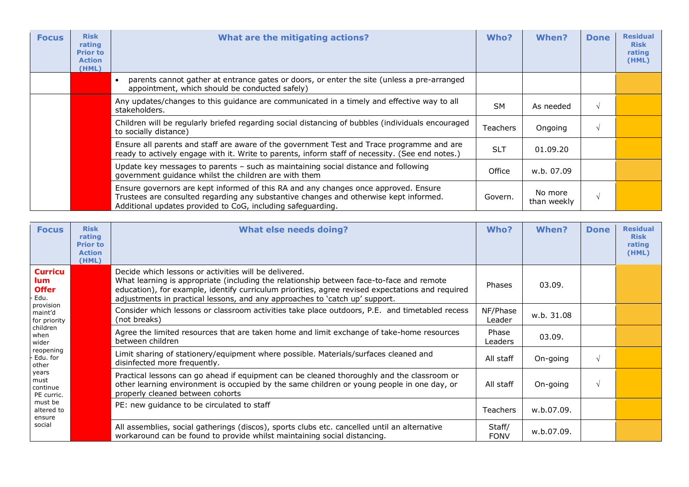| <b>Focus</b> | <b>Risk</b><br>rating<br><b>Prior to</b><br><b>Action</b><br>(HML) | What are the mitigating actions?                                                                                                                                                                                                            | Who?       | When?                  | <b>Done</b> | <b>Residual</b><br><b>Risk</b><br>rating<br>(HML) |
|--------------|--------------------------------------------------------------------|---------------------------------------------------------------------------------------------------------------------------------------------------------------------------------------------------------------------------------------------|------------|------------------------|-------------|---------------------------------------------------|
|              |                                                                    | parents cannot gather at entrance gates or doors, or enter the site (unless a pre-arranged<br>appointment, which should be conducted safely)                                                                                                |            |                        |             |                                                   |
|              |                                                                    | Any updates/changes to this guidance are communicated in a timely and effective way to all<br>stakeholders.                                                                                                                                 | <b>SM</b>  | As needed              |             |                                                   |
|              |                                                                    | Children will be regularly briefed regarding social distancing of bubbles (individuals encouraged<br>to socially distance)                                                                                                                  | Teachers   | Ongoing                |             |                                                   |
|              |                                                                    | Ensure all parents and staff are aware of the government Test and Trace programme and are<br>ready to actively engage with it. Write to parents, inform staff of necessity. (See end notes.)                                                | <b>SLT</b> | 01.09.20               |             |                                                   |
|              |                                                                    | Update key messages to parents - such as maintaining social distance and following<br>government quidance whilst the children are with them                                                                                                 | Office     | w.b. 07.09             |             |                                                   |
|              |                                                                    | Ensure governors are kept informed of this RA and any changes once approved. Ensure<br>Trustees are consulted regarding any substantive changes and otherwise kept informed.<br>Additional updates provided to CoG, including safeguarding. | Govern.    | No more<br>than weekly |             |                                                   |

| <b>Focus</b>                                                                         | <b>Risk</b><br>rating<br><b>Prior to</b><br><b>Action</b><br>(HML) | <b>What else needs doing?</b>                                                                                                                                                                                                                                                                                                        | Who?                    | When?      | <b>Done</b> | <b>Residual</b><br><b>Risk</b><br>rating<br>(HML) |
|--------------------------------------------------------------------------------------|--------------------------------------------------------------------|--------------------------------------------------------------------------------------------------------------------------------------------------------------------------------------------------------------------------------------------------------------------------------------------------------------------------------------|-------------------------|------------|-------------|---------------------------------------------------|
| <b>Curricu</b><br>lum.<br><b>Offer</b><br>Edu.                                       |                                                                    | Decide which lessons or activities will be delivered.<br>What learning is appropriate (including the relationship between face-to-face and remote<br>education), for example, identify curriculum priorities, agree revised expectations and required<br>adjustments in practical lessons, and any approaches to 'catch up' support. | Phases                  | 03.09.     |             |                                                   |
| provision<br>maint'd<br>for priority                                                 |                                                                    | Consider which lessons or classroom activities take place outdoors, P.E. and timetabled recess<br>(not breaks)                                                                                                                                                                                                                       | NF/Phase<br>Leader      | w.b. 31.08 |             |                                                   |
| children<br>when<br>wider                                                            |                                                                    | Agree the limited resources that are taken home and limit exchange of take-home resources<br>between children                                                                                                                                                                                                                        | Phase<br><b>Leaders</b> | 03.09.     |             |                                                   |
| reopening<br>Edu. for<br>other                                                       |                                                                    | Limit sharing of stationery/equipment where possible. Materials/surfaces cleaned and<br>disinfected more frequently.                                                                                                                                                                                                                 | All staff               | On-going   |             |                                                   |
| years<br>must<br>continue<br>PE curric.<br>must be<br>altered to<br>ensure<br>social |                                                                    | Practical lessons can go ahead if equipment can be cleaned thoroughly and the classroom or<br>other learning environment is occupied by the same children or young people in one day, or<br>properly cleaned between cohorts                                                                                                         | All staff               | On-going   |             |                                                   |
|                                                                                      |                                                                    | PE: new quidance to be circulated to staff                                                                                                                                                                                                                                                                                           | <b>Teachers</b>         | w.b.07.09. |             |                                                   |
|                                                                                      |                                                                    | All assemblies, social gatherings (discos), sports clubs etc. cancelled until an alternative<br>workaround can be found to provide whilst maintaining social distancing.                                                                                                                                                             | Staff/<br><b>FONV</b>   | w.b.07.09. |             |                                                   |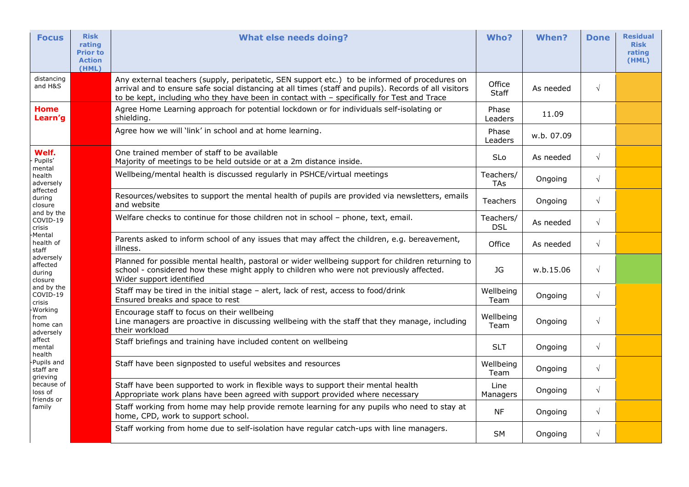| <b>Focus</b>                                                                                                  | <b>Risk</b><br>rating<br><b>Prior to</b><br><b>Action</b><br>(HML) | <b>What else needs doing?</b>                                                                                                                                                                                                                                                                        | Who?                    | <b>When?</b> | <b>Done</b> | <b>Residual</b><br><b>Risk</b><br>rating<br>(HML) |
|---------------------------------------------------------------------------------------------------------------|--------------------------------------------------------------------|------------------------------------------------------------------------------------------------------------------------------------------------------------------------------------------------------------------------------------------------------------------------------------------------------|-------------------------|--------------|-------------|---------------------------------------------------|
| distancing<br>and H&S                                                                                         |                                                                    | Any external teachers (supply, peripatetic, SEN support etc.) to be informed of procedures on<br>arrival and to ensure safe social distancing at all times (staff and pupils). Records of all visitors<br>to be kept, including who they have been in contact with - specifically for Test and Trace | Office<br>Staff         | As needed    | $\sqrt{}$   |                                                   |
| <b>Home</b><br>Learn'g                                                                                        |                                                                    | Agree Home Learning approach for potential lockdown or for individuals self-isolating or<br>shielding.                                                                                                                                                                                               | Phase<br>Leaders        | 11.09        |             |                                                   |
|                                                                                                               |                                                                    | Agree how we will 'link' in school and at home learning.                                                                                                                                                                                                                                             | Phase<br>Leaders        | w.b. 07.09   |             |                                                   |
| Welf.<br>Pupils'<br>mental                                                                                    |                                                                    | One trained member of staff to be available<br>Majority of meetings to be held outside or at a 2m distance inside.                                                                                                                                                                                   | SLo                     | As needed    | $\sqrt{}$   |                                                   |
| health<br>adversely                                                                                           |                                                                    | Wellbeing/mental health is discussed regularly in PSHCE/virtual meetings                                                                                                                                                                                                                             | Teachers/<br>TAs        | Ongoing      | $\sqrt{}$   |                                                   |
| affected<br>during<br>closure                                                                                 |                                                                    | Resources/websites to support the mental health of pupils are provided via newsletters, emails<br>and website                                                                                                                                                                                        | <b>Teachers</b>         | Ongoing      | $\sqrt{ }$  |                                                   |
| and by the<br>COVID-19<br>crisis                                                                              |                                                                    | Welfare checks to continue for those children not in school - phone, text, email.                                                                                                                                                                                                                    | Teachers/<br><b>DSL</b> | As needed    | $\sqrt{ }$  |                                                   |
| Mental-<br>health of<br>staff                                                                                 |                                                                    | Parents asked to inform school of any issues that may affect the children, e.g. bereavement,<br>illness.                                                                                                                                                                                             | Office                  | As needed    | $\sqrt{}$   |                                                   |
| adversely<br>affected<br>during<br>closure                                                                    |                                                                    | Planned for possible mental health, pastoral or wider wellbeing support for children returning to<br>school - considered how these might apply to children who were not previously affected.<br>Wider support identified                                                                             | JG                      | w.b.15.06    | $\sqrt{}$   |                                                   |
| and by the<br>COVID-19<br>crisis                                                                              |                                                                    | Staff may be tired in the initial stage - alert, lack of rest, access to food/drink<br>Ensured breaks and space to rest                                                                                                                                                                              | Wellbeing<br>Team       | Ongoing      | $\sqrt{}$   |                                                   |
| Working<br>from<br>home can<br>adversely<br>affect<br>mental<br>health<br>Pupils and<br>staff are<br>grieving |                                                                    | Encourage staff to focus on their wellbeing<br>Line managers are proactive in discussing wellbeing with the staff that they manage, including<br>their workload                                                                                                                                      | Wellbeing<br>Team       | Ongoing      | $\sqrt{}$   |                                                   |
|                                                                                                               |                                                                    | Staff briefings and training have included content on wellbeing                                                                                                                                                                                                                                      | <b>SLT</b>              | Ongoing      | $\sqrt{}$   |                                                   |
|                                                                                                               |                                                                    | Staff have been signposted to useful websites and resources                                                                                                                                                                                                                                          | Wellbeing<br>Team       | Ongoing      | $\sqrt{ }$  |                                                   |
| because of<br>loss of                                                                                         |                                                                    | Staff have been supported to work in flexible ways to support their mental health<br>Appropriate work plans have been agreed with support provided where necessary                                                                                                                                   | Line<br>Managers        | Ongoing      | $\sqrt{}$   |                                                   |
| friends or<br>family                                                                                          |                                                                    | Staff working from home may help provide remote learning for any pupils who need to stay at<br>home, CPD, work to support school.                                                                                                                                                                    | <b>NF</b>               | Ongoing      | $\sqrt{}$   |                                                   |
|                                                                                                               |                                                                    | Staff working from home due to self-isolation have regular catch-ups with line managers.                                                                                                                                                                                                             | <b>SM</b>               | Ongoing      | $\sqrt{ }$  |                                                   |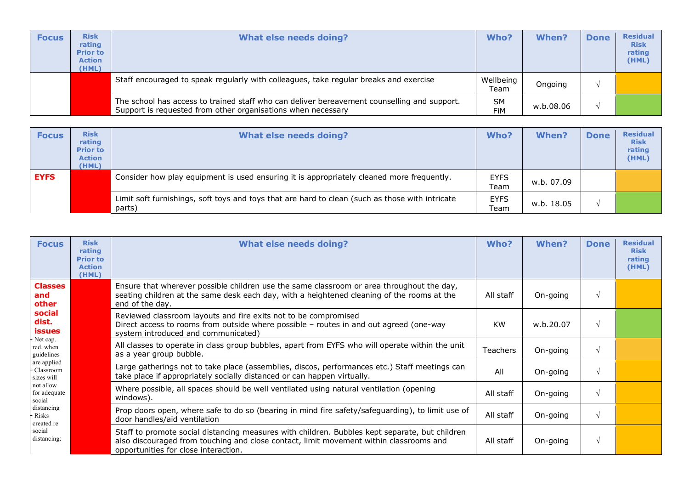| <b>Focus</b> | <b>Risk</b><br>rating<br><b>Prior to</b><br><b>Action</b><br>(HML) | <b>What else needs doing?</b>                                                                                                                               | Who?              | When?     | <b>Done</b> | <b>Residual</b><br><b>Risk</b><br>rating<br>(HML) |
|--------------|--------------------------------------------------------------------|-------------------------------------------------------------------------------------------------------------------------------------------------------------|-------------------|-----------|-------------|---------------------------------------------------|
|              |                                                                    | Staff encouraged to speak regularly with colleagues, take regular breaks and exercise                                                                       | Wellbeing<br>Team | Ongoing   |             |                                                   |
|              |                                                                    | The school has access to trained staff who can deliver bereavement counselling and support.<br>Support is requested from other organisations when necessary | <b>SM</b><br>FiM  | w.b.08.06 |             |                                                   |

| <b>Focus</b> | <b>Risk</b><br>rating<br><b>Prior to</b><br><b>Action</b><br>(HML) | What else needs doing?                                                                                    | Who?                | <b>When?</b> | <b>Done</b> | <b>Residual</b><br><b>Risk</b><br>rating<br>(HML) |
|--------------|--------------------------------------------------------------------|-----------------------------------------------------------------------------------------------------------|---------------------|--------------|-------------|---------------------------------------------------|
| <b>EYFS</b>  |                                                                    | Consider how play equipment is used ensuring it is appropriately cleaned more frequently.                 | <b>EYFS</b><br>Team | w.b. 07.09   |             |                                                   |
|              |                                                                    | Limit soft furnishings, soft toys and toys that are hard to clean (such as those with intricate<br>parts) | <b>EYFS</b><br>Team | w.b. 18.05   |             |                                                   |

| <b>Focus</b>                                                                                      | <b>Risk</b><br>rating<br><b>Prior to</b><br><b>Action</b><br>(HML) | <b>What else needs doing?</b>                                                                                                                                                                                                    | Who?      | When?     | <b>Done</b> | <b>Residual</b><br><b>Risk</b><br>rating<br>(HML) |
|---------------------------------------------------------------------------------------------------|--------------------------------------------------------------------|----------------------------------------------------------------------------------------------------------------------------------------------------------------------------------------------------------------------------------|-----------|-----------|-------------|---------------------------------------------------|
| <b>Classes</b><br>and<br>other                                                                    |                                                                    | Ensure that wherever possible children use the same classroom or area throughout the day,<br>seating children at the same desk each day, with a heightened cleaning of the rooms at the<br>end of the day.                       | All staff | On-going  |             |                                                   |
| social<br>dist.<br>issues                                                                         |                                                                    | Reviewed classroom layouts and fire exits not to be compromised<br>Direct access to rooms from outside where possible - routes in and out agreed (one-way<br>system introduced and communicated)                                 | <b>KW</b> | w.b.20.07 |             |                                                   |
| Net cap.<br>red. when<br>guidelines                                                               |                                                                    | All classes to operate in class group bubbles, apart from EYFS who will operate within the unit<br>as a year group bubble.                                                                                                       | Teachers  | On-going  |             |                                                   |
| are applied<br>Classroom<br>sizes will                                                            |                                                                    | Large gatherings not to take place (assemblies, discos, performances etc.) Staff meetings can<br>take place if appropriately socially distanced or can happen virtually.                                                         | All       | On-going  | ٦I          |                                                   |
| not allow<br>for adequate<br>social<br>distancing<br>Risks<br>created re<br>social<br>distancing: |                                                                    | Where possible, all spaces should be well ventilated using natural ventilation (opening<br>windows).                                                                                                                             | All staff | On-going  |             |                                                   |
|                                                                                                   |                                                                    | Prop doors open, where safe to do so (bearing in mind fire safety/safeguarding), to limit use of<br>door handles/aid ventilation                                                                                                 | All staff | On-going  |             |                                                   |
|                                                                                                   |                                                                    | Staff to promote social distancing measures with children. Bubbles kept separate, but children<br>also discouraged from touching and close contact, limit movement within classrooms and<br>opportunities for close interaction. | All staff | On-going  | $\sqrt{ }$  |                                                   |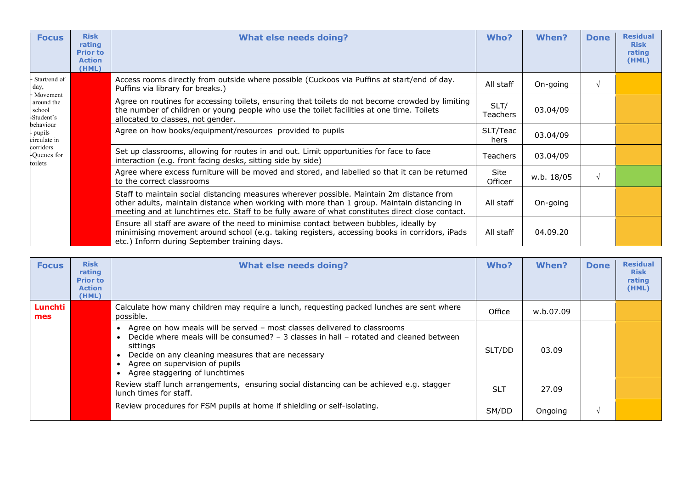| <b>Focus</b>                          | <b>Risk</b><br>rating<br><b>Prior to</b><br><b>Action</b><br>(HML) | <b>What else needs doing?</b>                                                                                                                                                                                                                                                                | Who?             | <b>When?</b> | <b>Done</b> | <b>Residual</b><br><b>Risk</b><br>rating<br>(HML) |
|---------------------------------------|--------------------------------------------------------------------|----------------------------------------------------------------------------------------------------------------------------------------------------------------------------------------------------------------------------------------------------------------------------------------------|------------------|--------------|-------------|---------------------------------------------------|
| Start/end of<br>day,<br>Movement      |                                                                    | Access rooms directly from outside where possible (Cuckoos via Puffins at start/end of day.<br>Puffins via library for breaks.)                                                                                                                                                              | All staff        | On-going     | $\sqrt{ }$  |                                                   |
| around the<br>school<br>-Student's    |                                                                    | Agree on routines for accessing toilets, ensuring that toilets do not become crowded by limiting<br>the number of children or young people who use the toilet facilities at one time. Toilets<br>allocated to classes, not gender.                                                           | SLT/<br>Teachers | 03.04/09     |             |                                                   |
| behaviour<br>- pupils<br>circulate in |                                                                    | Agree on how books/equipment/resources provided to pupils                                                                                                                                                                                                                                    | SLT/Teac<br>hers | 03.04/09     |             |                                                   |
| corridors<br>-Queues for<br>toilets   |                                                                    | Set up classrooms, allowing for routes in and out. Limit opportunities for face to face<br>interaction (e.g. front facing desks, sitting side by side)                                                                                                                                       | <b>Teachers</b>  | 03.04/09     |             |                                                   |
|                                       |                                                                    | Agree where excess furniture will be moved and stored, and labelled so that it can be returned<br>to the correct classrooms                                                                                                                                                                  | Site<br>Officer  | w.b. 18/05   | $\sqrt{ }$  |                                                   |
|                                       |                                                                    | Staff to maintain social distancing measures wherever possible. Maintain 2m distance from<br>other adults, maintain distance when working with more than 1 group. Maintain distancing in<br>meeting and at lunchtimes etc. Staff to be fully aware of what constitutes direct close contact. | All staff        | On-going     |             |                                                   |
|                                       |                                                                    | Ensure all staff are aware of the need to minimise contact between bubbles, ideally by<br>minimising movement around school (e.g. taking registers, accessing books in corridors, iPads<br>etc.) Inform during September training days.                                                      | All staff        | 04.09.20     |             |                                                   |

| <b>Focus</b>   | <b>Risk</b><br>rating<br><b>Prior to</b><br><b>Action</b><br>(HML) | <b>What else needs doing?</b>                                                                                                                                                                                                                                                                                         | Who?       | When?     | <b>Done</b> | <b>Residual</b><br><b>Risk</b><br>rating<br>(HML) |
|----------------|--------------------------------------------------------------------|-----------------------------------------------------------------------------------------------------------------------------------------------------------------------------------------------------------------------------------------------------------------------------------------------------------------------|------------|-----------|-------------|---------------------------------------------------|
| Lunchti<br>mes |                                                                    | Calculate how many children may require a lunch, requesting packed lunches are sent where<br>possible.                                                                                                                                                                                                                | Office     | w.b.07.09 |             |                                                   |
|                |                                                                    | Agree on how meals will be served - most classes delivered to classrooms<br>Decide where meals will be consumed? - 3 classes in hall - rotated and cleaned between<br>sittings<br>Decide on any cleaning measures that are necessary<br>Agree on supervision of pupils<br>Agree staggering of lunchtimes<br>$\bullet$ | SLT/DD     | 03.09     |             |                                                   |
|                |                                                                    | Review staff lunch arrangements, ensuring social distancing can be achieved e.g. stagger<br>lunch times for staff.                                                                                                                                                                                                    | <b>SLT</b> | 27.09     |             |                                                   |
|                |                                                                    | Review procedures for FSM pupils at home if shielding or self-isolating.                                                                                                                                                                                                                                              | SM/DD      | Ongoing   |             |                                                   |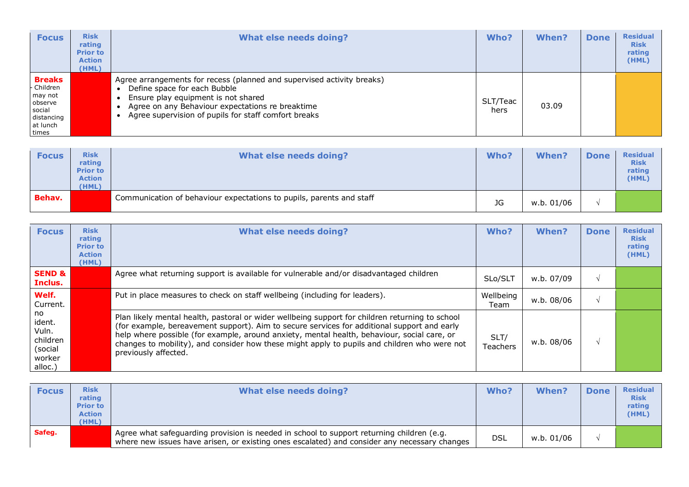| <b>Focus</b>                                                                                 | <b>Risk</b><br>rating<br><b>Prior to</b><br><b>Action</b><br>(HML) | <b>What else needs doing?</b>                                                                                                                                                                                                                             | Who?             | <b>When?</b> | <b>Done</b> | <b>Residual</b><br><b>Risk</b><br>rating<br>(HML) |
|----------------------------------------------------------------------------------------------|--------------------------------------------------------------------|-----------------------------------------------------------------------------------------------------------------------------------------------------------------------------------------------------------------------------------------------------------|------------------|--------------|-------------|---------------------------------------------------|
| <b>Breaks</b><br>Children<br>may not<br>observe<br>social<br>distancing<br>at lunch<br>times |                                                                    | Agree arrangements for recess (planned and supervised activity breaks)<br>Define space for each Bubble<br>Ensure play equipment is not shared<br>Agree on any Behaviour expectations re breaktime<br>Agree supervision of pupils for staff comfort breaks | SLT/Teac<br>hers | 03.09        |             |                                                   |

| <b>Focus</b>  | <b>Risk</b><br>rating<br><b>Prior to</b><br><b>Action</b><br>(HML) | What else needs doing?                                               | Who?      | <b>When?</b> | <b>Done</b> | <b>Residual</b><br><b>Risk</b><br>rating<br>(HML) |
|---------------|--------------------------------------------------------------------|----------------------------------------------------------------------|-----------|--------------|-------------|---------------------------------------------------|
| <b>Behav.</b> |                                                                    | Communication of behaviour expectations to pupils, parents and staff | <b>JG</b> | w.b. 01/06   |             |                                                   |

| <b>Focus</b>                                                      | <b>Risk</b><br>rating<br><b>Prior to</b><br><b>Action</b><br>(HML) | <b>What else needs doing?</b>                                                                                                                                                                                                                                                                                                                                                                                         | Who?              | When?      | <b>Done</b> | <b>Residual</b><br><b>Risk</b><br>rating<br>(HML) |
|-------------------------------------------------------------------|--------------------------------------------------------------------|-----------------------------------------------------------------------------------------------------------------------------------------------------------------------------------------------------------------------------------------------------------------------------------------------------------------------------------------------------------------------------------------------------------------------|-------------------|------------|-------------|---------------------------------------------------|
| <b>SEND &amp;</b><br>Inclus.                                      |                                                                    | Agree what returning support is available for vulnerable and/or disadvantaged children                                                                                                                                                                                                                                                                                                                                | SLo/SLT           | w.b. 07/09 |             |                                                   |
| Welf.<br>Current.                                                 |                                                                    | Put in place measures to check on staff wellbeing (including for leaders).                                                                                                                                                                                                                                                                                                                                            | Wellbeing<br>Team | w.b. 08/06 |             |                                                   |
| no<br>ident.<br>Vuln.<br>children<br>(social<br>worker<br>alloc.) |                                                                    | Plan likely mental health, pastoral or wider wellbeing support for children returning to school<br>(for example, bereavement support). Aim to secure services for additional support and early<br>help where possible (for example, around anxiety, mental health, behaviour, social care, or<br>changes to mobility), and consider how these might apply to pupils and children who were not<br>previously affected. | SLT/<br>Teachers  | w.b. 08/06 |             |                                                   |

| <b>Focus</b> | <b>Risk</b><br>rating<br><b>Prior to</b><br><b>Action</b><br>(HML) | What else needs doing?                                                                                                                                                                    | Who? | <b>When?</b> | <b>Done</b> | <b>Residual</b><br><b>Risk</b><br>rating<br>(HML) |
|--------------|--------------------------------------------------------------------|-------------------------------------------------------------------------------------------------------------------------------------------------------------------------------------------|------|--------------|-------------|---------------------------------------------------|
| Safeg.       |                                                                    | Agree what safeguarding provision is needed in school to support returning children (e.g.<br>where new issues have arisen, or existing ones escalated) and consider any necessary changes | DSL  | w.b. 01/06   |             |                                                   |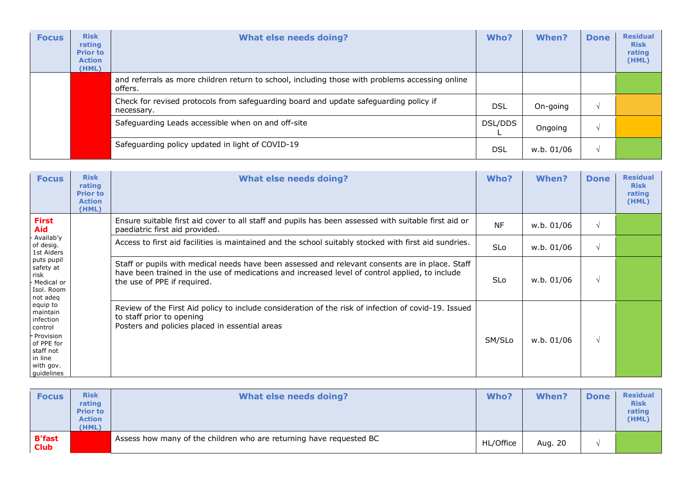| <b>Focus</b> | <b>Risk</b><br>rating<br><b>Prior to</b><br><b>Action</b><br>(HML) | <b>What else needs doing?</b>                                                                              | Who?       | When?      | <b>Done</b> | <b>Residual</b><br><b>Risk</b><br>rating<br>(HML) |
|--------------|--------------------------------------------------------------------|------------------------------------------------------------------------------------------------------------|------------|------------|-------------|---------------------------------------------------|
|              |                                                                    | and referrals as more children return to school, including those with problems accessing online<br>offers. |            |            |             |                                                   |
|              |                                                                    | Check for revised protocols from safeguarding board and update safeguarding policy if<br>necessary.        | <b>DSL</b> | On-going   | $\sim$      |                                                   |
|              |                                                                    | Safeguarding Leads accessible when on and off-site                                                         | DSL/DDS    | Ongoing    | $\Delta$    |                                                   |
|              |                                                                    | Safeguarding policy updated in light of COVID-19                                                           | <b>DSL</b> | w.b. 01/06 | $\Delta l$  |                                                   |

| <b>Focus</b>                                                                                                                                                                                                                                                           | <b>Risk</b><br>rating<br><b>Prior to</b><br><b>Action</b><br>(HML) | <b>What else needs doing?</b>                                                                                                                                                                                                    | Who?       | When?      | <b>Done</b> | <b>Residual</b><br><b>Risk</b><br>rating<br>(HML) |
|------------------------------------------------------------------------------------------------------------------------------------------------------------------------------------------------------------------------------------------------------------------------|--------------------------------------------------------------------|----------------------------------------------------------------------------------------------------------------------------------------------------------------------------------------------------------------------------------|------------|------------|-------------|---------------------------------------------------|
| <b>First</b><br>Aid<br>Availab'y<br>of desig.<br>1st Aiders<br>puts pupil<br>safety at<br>risk<br>Medical or<br>Isol. Room<br>not adeq<br>equip to<br>maintain<br>infection<br>control<br>- Provision<br>of PPE for<br>staff not<br>in line<br>with gov.<br>guidelines |                                                                    | Ensure suitable first aid cover to all staff and pupils has been assessed with suitable first aid or<br>paediatric first aid provided.                                                                                           | <b>NF</b>  | w.b. 01/06 | $\sqrt{ }$  |                                                   |
|                                                                                                                                                                                                                                                                        |                                                                    | Access to first aid facilities is maintained and the school suitably stocked with first aid sundries.                                                                                                                            | <b>SLo</b> | w.b. 01/06 | $\sqrt{ }$  |                                                   |
|                                                                                                                                                                                                                                                                        |                                                                    | Staff or pupils with medical needs have been assessed and relevant consents are in place. Staff<br>have been trained in the use of medications and increased level of control applied, to include<br>the use of PPE if required. | <b>SLo</b> | w.b. 01/06 | $\sqrt{ }$  |                                                   |
|                                                                                                                                                                                                                                                                        |                                                                    | Review of the First Aid policy to include consideration of the risk of infection of covid-19. Issued<br>to staff prior to opening<br>Posters and policies placed in essential areas                                              | SM/SLo     | w.b. 01/06 | $\sqrt{ }$  |                                                   |

| <b>Focus</b>                 | <b>Risk</b><br>rating<br><b>Prior to</b><br><b>Action</b><br>(HML) | What else needs doing?                                              | Who?      | When?   | <b>Done</b> | <b>Residual</b><br><b>Risk</b><br>rating<br>(HML) |
|------------------------------|--------------------------------------------------------------------|---------------------------------------------------------------------|-----------|---------|-------------|---------------------------------------------------|
| <b>B'fast</b><br><b>Club</b> |                                                                    | Assess how many of the children who are returning have requested BC | HL/Office | Aug. 20 |             |                                                   |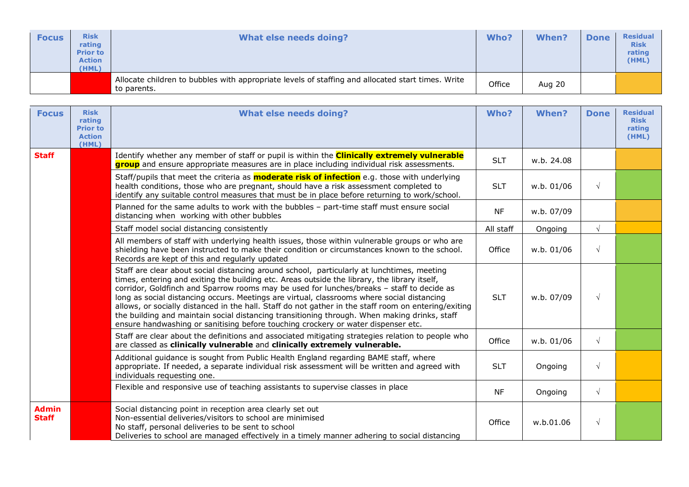| <b>Focus</b> | <b>Risk</b><br>rating<br><b>Prior to</b><br><b>Action</b><br>(HML) | What else needs doing?                                                                                           | Who?   | <b>When?</b>  | <b>Done</b> | <b>Residual</b><br><b>Risk</b><br>rating<br>(HML) |
|--------------|--------------------------------------------------------------------|------------------------------------------------------------------------------------------------------------------|--------|---------------|-------------|---------------------------------------------------|
|              |                                                                    | Allocate children to bubbles with appropriate levels of staffing and allocated start times. Write<br>to parents. | Office | <b>Aug 20</b> |             |                                                   |

| <b>Focus</b>                 | <b>Risk</b><br>rating<br><b>Prior to</b><br><b>Action</b><br>(HML) | <b>What else needs doing?</b>                                                                                                                                                                                                                                                                                                                                                                                                                                                                                                                                                                                                                                                      | Who?       | When?      | <b>Done</b> | <b>Residual</b><br><b>Risk</b><br>rating<br>(HML) |
|------------------------------|--------------------------------------------------------------------|------------------------------------------------------------------------------------------------------------------------------------------------------------------------------------------------------------------------------------------------------------------------------------------------------------------------------------------------------------------------------------------------------------------------------------------------------------------------------------------------------------------------------------------------------------------------------------------------------------------------------------------------------------------------------------|------------|------------|-------------|---------------------------------------------------|
| <b>Staff</b>                 |                                                                    | Identify whether any member of staff or pupil is within the <b>Clinically extremely vulnerable</b><br>group and ensure appropriate measures are in place including individual risk assessments.                                                                                                                                                                                                                                                                                                                                                                                                                                                                                    | <b>SLT</b> | w.b. 24.08 |             |                                                   |
|                              |                                                                    | Staff/pupils that meet the criteria as <b>moderate risk of infection</b> e.g. those with underlying<br>health conditions, those who are pregnant, should have a risk assessment completed to<br>identify any suitable control measures that must be in place before returning to work/school.                                                                                                                                                                                                                                                                                                                                                                                      | <b>SLT</b> | w.b. 01/06 | $\sqrt{ }$  |                                                   |
|                              |                                                                    | Planned for the same adults to work with the bubbles - part-time staff must ensure social<br>distancing when working with other bubbles                                                                                                                                                                                                                                                                                                                                                                                                                                                                                                                                            | <b>NF</b>  | w.b. 07/09 |             |                                                   |
|                              |                                                                    | Staff model social distancing consistently                                                                                                                                                                                                                                                                                                                                                                                                                                                                                                                                                                                                                                         | All staff  | Ongoing    | $\sqrt{ }$  |                                                   |
|                              |                                                                    | All members of staff with underlying health issues, those within vulnerable groups or who are<br>shielding have been instructed to make their condition or circumstances known to the school.<br>Records are kept of this and regularly updated                                                                                                                                                                                                                                                                                                                                                                                                                                    | Office     | w.b. 01/06 | $\sqrt{ }$  |                                                   |
|                              |                                                                    | Staff are clear about social distancing around school, particularly at lunchtimes, meeting<br>times, entering and exiting the building etc. Areas outside the library, the library itself,<br>corridor, Goldfinch and Sparrow rooms may be used for lunches/breaks - staff to decide as<br>long as social distancing occurs. Meetings are virtual, classrooms where social distancing<br>allows, or socially distanced in the hall. Staff do not gather in the staff room on entering/exiting<br>the building and maintain social distancing transitioning through. When making drinks, staff<br>ensure handwashing or sanitising before touching crockery or water dispenser etc. | <b>SLT</b> | w.b. 07/09 | $\sqrt{ }$  |                                                   |
|                              |                                                                    | Staff are clear about the definitions and associated mitigating strategies relation to people who<br>are classed as clinically vulnerable and clinically extremely vulnerable.                                                                                                                                                                                                                                                                                                                                                                                                                                                                                                     | Office     | w.b. 01/06 | $\sqrt{ }$  |                                                   |
|                              |                                                                    | Additional guidance is sought from Public Health England regarding BAME staff, where<br>appropriate. If needed, a separate individual risk assessment will be written and agreed with<br>individuals requesting one.                                                                                                                                                                                                                                                                                                                                                                                                                                                               | <b>SLT</b> | Ongoing    | $\sqrt{ }$  |                                                   |
|                              |                                                                    | Flexible and responsive use of teaching assistants to supervise classes in place                                                                                                                                                                                                                                                                                                                                                                                                                                                                                                                                                                                                   | <b>NF</b>  | Ongoing    | $\sqrt{ }$  |                                                   |
| <b>Admin</b><br><b>Staff</b> |                                                                    | Social distancing point in reception area clearly set out<br>Non-essential deliveries/visitors to school are minimised<br>No staff, personal deliveries to be sent to school<br>Deliveries to school are managed effectively in a timely manner adhering to social distancing                                                                                                                                                                                                                                                                                                                                                                                                      | Office     | w.b.01.06  | $\sqrt{ }$  |                                                   |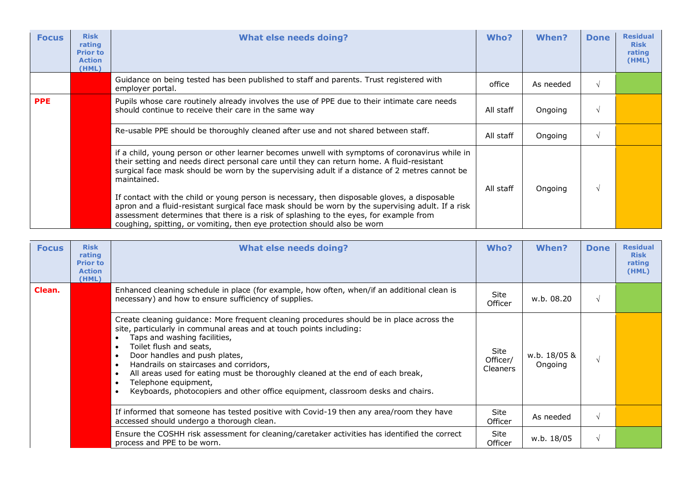| <b>Focus</b> | <b>Risk</b><br>rating<br><b>Prior to</b><br><b>Action</b><br>(HML) | <b>What else needs doing?</b>                                                                                                                                                                                                                                                                                                                                          | Who?      | When?     | <b>Done</b> | <b>Residual</b><br><b>Risk</b><br>rating<br>(HML) |
|--------------|--------------------------------------------------------------------|------------------------------------------------------------------------------------------------------------------------------------------------------------------------------------------------------------------------------------------------------------------------------------------------------------------------------------------------------------------------|-----------|-----------|-------------|---------------------------------------------------|
|              |                                                                    | Guidance on being tested has been published to staff and parents. Trust registered with<br>employer portal.                                                                                                                                                                                                                                                            | office    | As needed |             |                                                   |
| <b>PPE</b>   |                                                                    | Pupils whose care routinely already involves the use of PPE due to their intimate care needs<br>should continue to receive their care in the same way                                                                                                                                                                                                                  | All staff | Ongoing   | V           |                                                   |
|              |                                                                    | Re-usable PPE should be thoroughly cleaned after use and not shared between staff.                                                                                                                                                                                                                                                                                     | All staff | Ongoing   |             |                                                   |
|              |                                                                    | if a child, young person or other learner becomes unwell with symptoms of coronavirus while in<br>their setting and needs direct personal care until they can return home. A fluid-resistant<br>surgical face mask should be worn by the supervising adult if a distance of 2 metres cannot be<br>maintained.                                                          | All staff | Ongoing   |             |                                                   |
|              |                                                                    | If contact with the child or young person is necessary, then disposable gloves, a disposable<br>apron and a fluid-resistant surgical face mask should be worn by the supervising adult. If a risk<br>assessment determines that there is a risk of splashing to the eyes, for example from<br>coughing, spitting, or vomiting, then eye protection should also be worn |           |           |             |                                                   |

| <b>Focus</b> | <b>Risk</b><br>rating<br><b>Prior to</b><br><b>Action</b><br>(HML) | <b>What else needs doing?</b>                                                                                                                                                                                                                                                                                                                                                                                                                                                                                                                           | Who?                                       | When?                   | <b>Done</b> | <b>Residual</b><br><b>Risk</b><br>rating<br>(HML) |
|--------------|--------------------------------------------------------------------|---------------------------------------------------------------------------------------------------------------------------------------------------------------------------------------------------------------------------------------------------------------------------------------------------------------------------------------------------------------------------------------------------------------------------------------------------------------------------------------------------------------------------------------------------------|--------------------------------------------|-------------------------|-------------|---------------------------------------------------|
| Clean.       |                                                                    | Enhanced cleaning schedule in place (for example, how often, when/if an additional clean is<br>necessary) and how to ensure sufficiency of supplies.                                                                                                                                                                                                                                                                                                                                                                                                    | Site<br>Officer                            | w.b. 08.20              | $\sqrt{ }$  |                                                   |
|              |                                                                    | Create cleaning guidance: More frequent cleaning procedures should be in place across the<br>site, particularly in communal areas and at touch points including:<br>Taps and washing facilities,<br>Toilet flush and seats,<br>$\bullet$<br>Door handles and push plates,<br>$\bullet$<br>Handrails on staircases and corridors,<br>$\bullet$<br>All areas used for eating must be thoroughly cleaned at the end of each break,<br>Telephone equipment,<br>$\bullet$<br>Keyboards, photocopiers and other office equipment, classroom desks and chairs. | <b>Site</b><br>Officer/<br><b>Cleaners</b> | w.b. 18/05 &<br>Ongoing |             |                                                   |
|              |                                                                    | If informed that someone has tested positive with Covid-19 then any area/room they have<br>accessed should undergo a thorough clean.                                                                                                                                                                                                                                                                                                                                                                                                                    | <b>Site</b><br>Officer                     | As needed               | $\sqrt{ }$  |                                                   |
|              |                                                                    | Ensure the COSHH risk assessment for cleaning/caretaker activities has identified the correct<br>process and PPE to be worn.                                                                                                                                                                                                                                                                                                                                                                                                                            | Site<br>Officer                            | w.b. 18/05              | $\sqrt{ }$  |                                                   |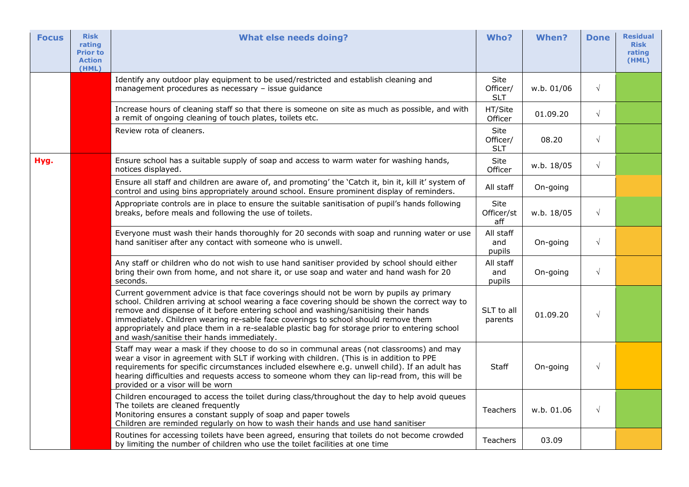| <b>Focus</b> | <b>Risk</b><br>rating<br><b>Prior to</b><br><b>Action</b><br>(HML) | <b>What else needs doing?</b>                                                                                                                                                                                                                                                                                                                                                                                                                                                                                           | Who?                           | When?      | <b>Done</b> | <b>Residual</b><br><b>Risk</b><br>rating<br>(HML) |
|--------------|--------------------------------------------------------------------|-------------------------------------------------------------------------------------------------------------------------------------------------------------------------------------------------------------------------------------------------------------------------------------------------------------------------------------------------------------------------------------------------------------------------------------------------------------------------------------------------------------------------|--------------------------------|------------|-------------|---------------------------------------------------|
|              |                                                                    | Identify any outdoor play equipment to be used/restricted and establish cleaning and<br>management procedures as necessary - issue guidance                                                                                                                                                                                                                                                                                                                                                                             | Site<br>Officer/<br><b>SLT</b> | w.b. 01/06 | $\sqrt{}$   |                                                   |
|              |                                                                    | Increase hours of cleaning staff so that there is someone on site as much as possible, and with<br>a remit of ongoing cleaning of touch plates, toilets etc.                                                                                                                                                                                                                                                                                                                                                            | HT/Site<br>Officer             | 01.09.20   | $\sqrt{}$   |                                                   |
|              |                                                                    | Review rota of cleaners.                                                                                                                                                                                                                                                                                                                                                                                                                                                                                                | Site<br>Officer/<br><b>SLT</b> | 08.20      | $\sqrt{}$   |                                                   |
| Hyg.         |                                                                    | Ensure school has a suitable supply of soap and access to warm water for washing hands,<br>notices displayed.                                                                                                                                                                                                                                                                                                                                                                                                           | Site<br>Officer                | w.b. 18/05 | $\sqrt{ }$  |                                                   |
|              |                                                                    | Ensure all staff and children are aware of, and promoting' the 'Catch it, bin it, kill it' system of<br>control and using bins appropriately around school. Ensure prominent display of reminders.                                                                                                                                                                                                                                                                                                                      | All staff                      | On-going   |             |                                                   |
|              |                                                                    | Appropriate controls are in place to ensure the suitable sanitisation of pupil's hands following<br>breaks, before meals and following the use of toilets.                                                                                                                                                                                                                                                                                                                                                              | Site<br>Officer/st<br>aff      | w.b. 18/05 | $\sqrt{ }$  |                                                   |
|              |                                                                    | Everyone must wash their hands thoroughly for 20 seconds with soap and running water or use<br>hand sanitiser after any contact with someone who is unwell.                                                                                                                                                                                                                                                                                                                                                             | All staff<br>and<br>pupils     | On-going   | $\sqrt{}$   |                                                   |
|              |                                                                    | Any staff or children who do not wish to use hand sanitiser provided by school should either<br>bring their own from home, and not share it, or use soap and water and hand wash for 20<br>seconds.                                                                                                                                                                                                                                                                                                                     | All staff<br>and<br>pupils     | On-going   | $\sqrt{}$   |                                                   |
|              |                                                                    | Current government advice is that face coverings should not be worn by pupils ay primary<br>school. Children arriving at school wearing a face covering should be shown the correct way to<br>remove and dispense of it before entering school and washing/sanitising their hands<br>immediately. Children wearing re-sable face coverings to school should remove them<br>appropriately and place them in a re-sealable plastic bag for storage prior to entering school<br>and wash/sanitise their hands immediately. | SLT to all<br>parents          | 01.09.20   | $\sqrt{}$   |                                                   |
|              |                                                                    | Staff may wear a mask if they choose to do so in communal areas (not classrooms) and may<br>wear a visor in agreement with SLT if working with children. (This is in addition to PPE<br>requirements for specific circumstances included elsewhere e.g. unwell child). If an adult has<br>hearing difficulties and requests access to someone whom they can lip-read from, this will be<br>provided or a visor will be worn                                                                                             | <b>Staff</b>                   | On-going   | $\sqrt{}$   |                                                   |
|              |                                                                    | Children encouraged to access the toilet during class/throughout the day to help avoid queues<br>The toilets are cleaned frequently<br>Monitoring ensures a constant supply of soap and paper towels<br>Children are reminded regularly on how to wash their hands and use hand sanitiser                                                                                                                                                                                                                               | <b>Teachers</b>                | w.b. 01.06 | $\sqrt{}$   |                                                   |
|              |                                                                    | Routines for accessing toilets have been agreed, ensuring that toilets do not become crowded<br>by limiting the number of children who use the toilet facilities at one time                                                                                                                                                                                                                                                                                                                                            | <b>Teachers</b>                | 03.09      |             |                                                   |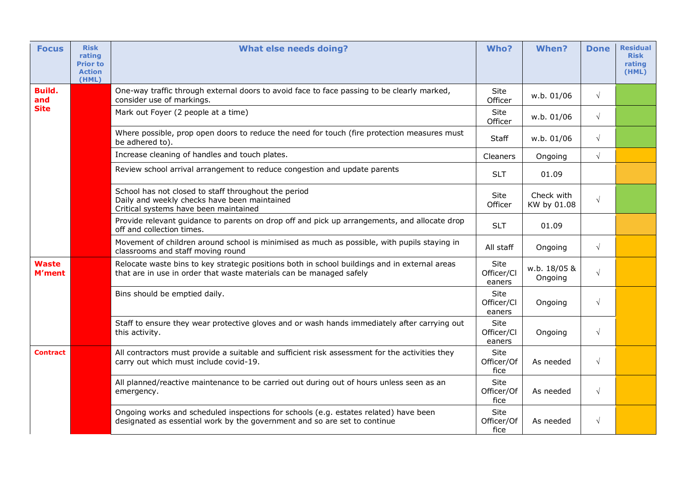| <b>Focus</b>                  | <b>Risk</b><br>rating<br><b>Prior to</b><br><b>Action</b><br>(HML) | <b>What else needs doing?</b>                                                                                                                                        | Who?                         | When?                     | <b>Done</b> | <b>Residual</b><br><b>Risk</b><br>rating<br>(HML) |
|-------------------------------|--------------------------------------------------------------------|----------------------------------------------------------------------------------------------------------------------------------------------------------------------|------------------------------|---------------------------|-------------|---------------------------------------------------|
| Build.<br>and                 |                                                                    | One-way traffic through external doors to avoid face to face passing to be clearly marked,<br>consider use of markings.                                              | Site<br>Officer              | w.b. 01/06                | $\sqrt{ }$  |                                                   |
| <b>Site</b>                   |                                                                    | Mark out Foyer (2 people at a time)                                                                                                                                  | Site<br>Officer              | w.b. 01/06                | $\sqrt{ }$  |                                                   |
|                               |                                                                    | Where possible, prop open doors to reduce the need for touch (fire protection measures must<br>be adhered to).                                                       | Staff                        | w.b. 01/06                | $\sqrt{ }$  |                                                   |
|                               |                                                                    | Increase cleaning of handles and touch plates.                                                                                                                       | Cleaners                     | Ongoing                   | $\sqrt{ }$  |                                                   |
|                               |                                                                    | Review school arrival arrangement to reduce congestion and update parents                                                                                            | <b>SLT</b>                   | 01.09                     |             |                                                   |
|                               |                                                                    | School has not closed to staff throughout the period<br>Daily and weekly checks have been maintained<br>Critical systems have been maintained                        | Site<br>Officer              | Check with<br>KW by 01.08 | $\sqrt{ }$  |                                                   |
|                               |                                                                    | Provide relevant guidance to parents on drop off and pick up arrangements, and allocate drop<br>off and collection times.                                            | <b>SLT</b>                   | 01.09                     |             |                                                   |
|                               |                                                                    | Movement of children around school is minimised as much as possible, with pupils staying in<br>classrooms and staff moving round                                     | All staff                    | Ongoing                   | $\sqrt{ }$  |                                                   |
| <b>Waste</b><br><b>M'ment</b> |                                                                    | Relocate waste bins to key strategic positions both in school buildings and in external areas<br>that are in use in order that waste materials can be managed safely | Site<br>Officer/Cl<br>eaners | w.b. 18/05 &<br>Ongoing   | $\sqrt{ }$  |                                                   |
|                               |                                                                    | Bins should be emptied daily.                                                                                                                                        | Site<br>Officer/Cl<br>eaners | Ongoing                   | $\sqrt{ }$  |                                                   |
|                               |                                                                    | Staff to ensure they wear protective gloves and or wash hands immediately after carrying out<br>this activity.                                                       | Site<br>Officer/Cl<br>eaners | Ongoing                   | $\sqrt{ }$  |                                                   |
| <b>Contract</b>               |                                                                    | All contractors must provide a suitable and sufficient risk assessment for the activities they<br>carry out which must include covid-19.                             | Site<br>Officer/Of<br>fice   | As needed                 | $\sqrt{ }$  |                                                   |
|                               |                                                                    | All planned/reactive maintenance to be carried out during out of hours unless seen as an<br>emergency.                                                               | Site<br>Officer/Of<br>fice   | As needed                 | $\sqrt{ }$  |                                                   |
|                               |                                                                    | Ongoing works and scheduled inspections for schools (e.g. estates related) have been<br>designated as essential work by the government and so are set to continue    | Site<br>Officer/Of<br>fice   | As needed                 | $\sqrt{ }$  |                                                   |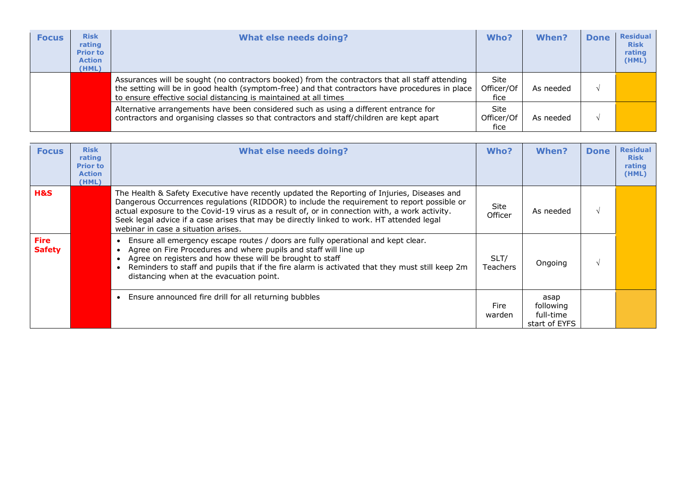| <b>Focus</b> | <b>Risk</b><br>rating<br><b>Prior to</b><br><b>Action</b><br>(HML) | <b>What else needs doing?</b>                                                                                                                                                                                                                                          | Who?                              | When?     | <b>Done</b> | <b>Residual</b><br><b>Risk</b><br>rating<br>(HML) |
|--------------|--------------------------------------------------------------------|------------------------------------------------------------------------------------------------------------------------------------------------------------------------------------------------------------------------------------------------------------------------|-----------------------------------|-----------|-------------|---------------------------------------------------|
|              |                                                                    | Assurances will be sought (no contractors booked) from the contractors that all staff attending<br>the setting will be in good health (symptom-free) and that contractors have procedures in place<br>to ensure effective social distancing is maintained at all times | <b>Site</b><br>Officer/Of<br>fice | As needed |             |                                                   |
|              |                                                                    | Alternative arrangements have been considered such as using a different entrance for<br>contractors and organising classes so that contractors and staff/children are kept apart                                                                                       | <b>Site</b><br>Officer/Of<br>fice | As needed |             |                                                   |

| <b>Focus</b>                 | <b>Risk</b><br>rating<br><b>Prior to</b><br><b>Action</b><br>(HML) | <b>What else needs doing?</b>                                                                                                                                                                                                                                                                                                                                                                                                   | Who?                   | When?                                           | <b>Done</b> | <b>Residual</b><br><b>Risk</b><br>rating<br>(HML) |
|------------------------------|--------------------------------------------------------------------|---------------------------------------------------------------------------------------------------------------------------------------------------------------------------------------------------------------------------------------------------------------------------------------------------------------------------------------------------------------------------------------------------------------------------------|------------------------|-------------------------------------------------|-------------|---------------------------------------------------|
| H&S                          |                                                                    | The Health & Safety Executive have recently updated the Reporting of Injuries, Diseases and<br>Dangerous Occurrences regulations (RIDDOR) to include the requirement to report possible or<br>actual exposure to the Covid-19 virus as a result of, or in connection with, a work activity.<br>Seek legal advice if a case arises that may be directly linked to work. HT attended legal<br>webinar in case a situation arises. | <b>Site</b><br>Officer | As needed                                       | $\sim$      |                                                   |
| <b>Fire</b><br><b>Safety</b> |                                                                    | Ensure all emergency escape routes / doors are fully operational and kept clear.<br>$\bullet$<br>Agree on Fire Procedures and where pupils and staff will line up<br>Agree on registers and how these will be brought to staff<br>Reminders to staff and pupils that if the fire alarm is activated that they must still keep 2m<br>$\bullet$<br>distancing when at the evacuation point.                                       | SLT/<br>Teachers       | Ongoing                                         | $\sim$      |                                                   |
|                              |                                                                    | Ensure announced fire drill for all returning bubbles<br>$\bullet$                                                                                                                                                                                                                                                                                                                                                              | Fire<br>warden         | asap<br>following<br>full-time<br>start of EYFS |             |                                                   |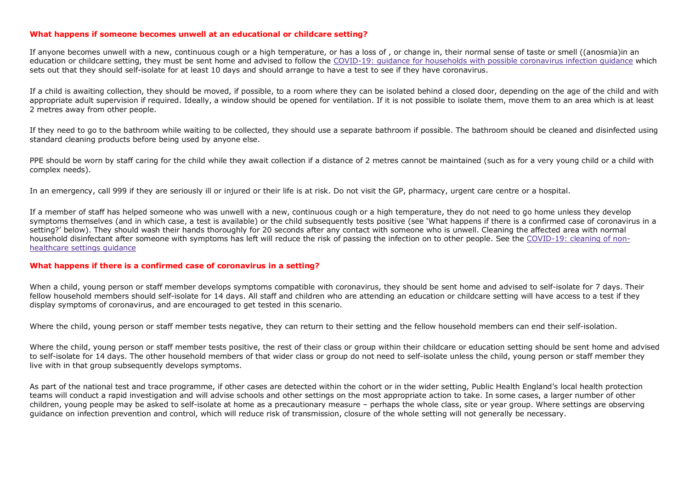## **What happens if someone becomes unwell at an educational or childcare setting?**

If anyone becomes unwell with a new, continuous cough or a high temperature, or has a loss of , or change in, their normal sense of taste or smell ((anosmia)in an education or childcare setting, they must be sent home and advised to follow the COVID-19: guidance for households with possible coronavirus infection guidance which sets out that they should self-isolate for at least 10 days and should arrange to have a test to see if they have coronavirus.

If a child is awaiting collection, they should be moved, if possible, to a room where they can be isolated behind a closed door, depending on the age of the child and with appropriate adult supervision if required. Ideally, a window should be opened for ventilation. If it is not possible to isolate them, move them to an area which is at least 2 metres away from other people.

If they need to go to the bathroom while waiting to be collected, they should use a separate bathroom if possible. The bathroom should be cleaned and disinfected using standard cleaning products before being used by anyone else.

PPE should be worn by staff caring for the child while they await collection if a distance of 2 metres cannot be maintained (such as for a very young child or a child with complex needs).

In an emergency, call 999 if they are seriously ill or injured or their life is at risk. Do not visit the GP, pharmacy, urgent care centre or a hospital.

If a member of staff has helped someone who was unwell with a new, continuous cough or a high temperature, they do not need to go home unless they develop symptoms themselves (and in which case, a test is available) or the child subsequently tests positive (see 'What happens if there is a confirmed case of coronavirus in a setting?' below). They should wash their hands thoroughly for 20 seconds after any contact with someone who is unwell. Cleaning the affected area with normal household disinfectant after someone with symptoms has left will reduce the risk of passing the infection on to other people. See the COVID-19: cleaning of nonhealthcare settings guidance

## **What happens if there is a confirmed case of coronavirus in a setting?**

When a child, young person or staff member develops symptoms compatible with coronavirus, they should be sent home and advised to self-isolate for 7 days. Their fellow household members should self-isolate for 14 days. All staff and children who are attending an education or childcare setting will have access to a test if they display symptoms of coronavirus, and are encouraged to get tested in this scenario.

Where the child, young person or staff member tests negative, they can return to their setting and the fellow household members can end their self-isolation.

Where the child, young person or staff member tests positive, the rest of their class or group within their childcare or education setting should be sent home and advised to self-isolate for 14 days. The other household members of that wider class or group do not need to self-isolate unless the child, young person or staff member they live with in that group subsequently develops symptoms.

As part of the national test and trace programme, if other cases are detected within the cohort or in the wider setting, Public Health England's local health protection teams will conduct a rapid investigation and will advise schools and other settings on the most appropriate action to take. In some cases, a larger number of other children, young people may be asked to self-isolate at home as a precautionary measure – perhaps the whole class, site or year group. Where settings are observing guidance on infection prevention and control, which will reduce risk of transmission, closure of the whole setting will not generally be necessary.